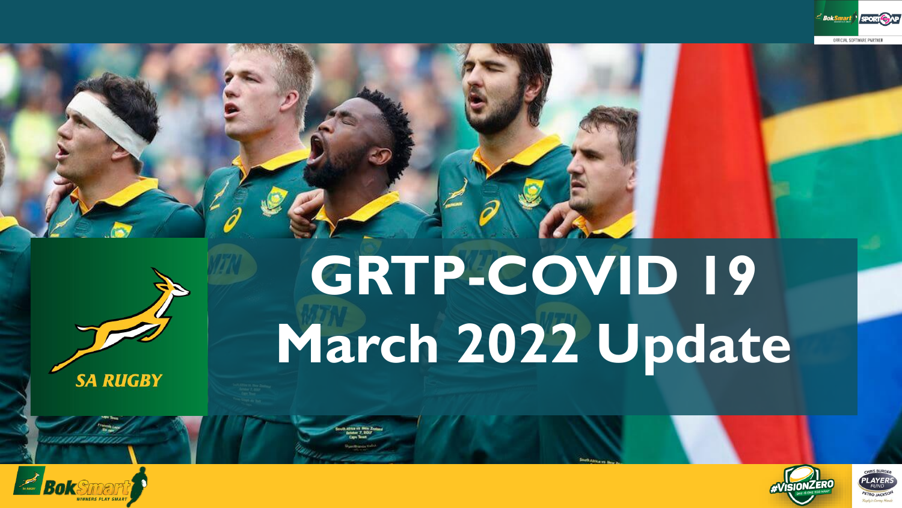



**SA RUGBY** 

# **GRTP-COVID 19 March 2022 Update**



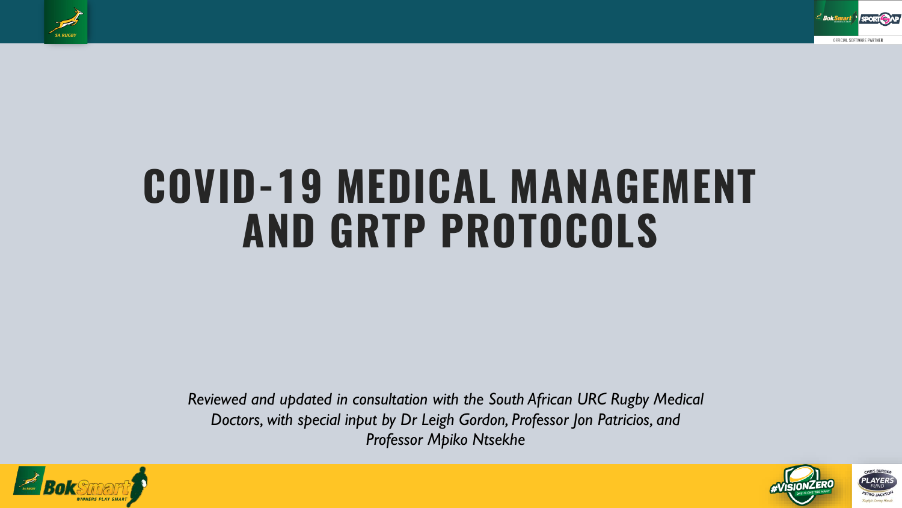



## **COVID-19 MEDICAL MANAGEMENT AND GRTP PROTOCOLS**

*Reviewed and updated in consultation with the South African URC Rugby Medical Doctors, with special input by Dr Leigh Gordon, Professor Jon Patricios, and Professor Mpiko Ntsekhe*



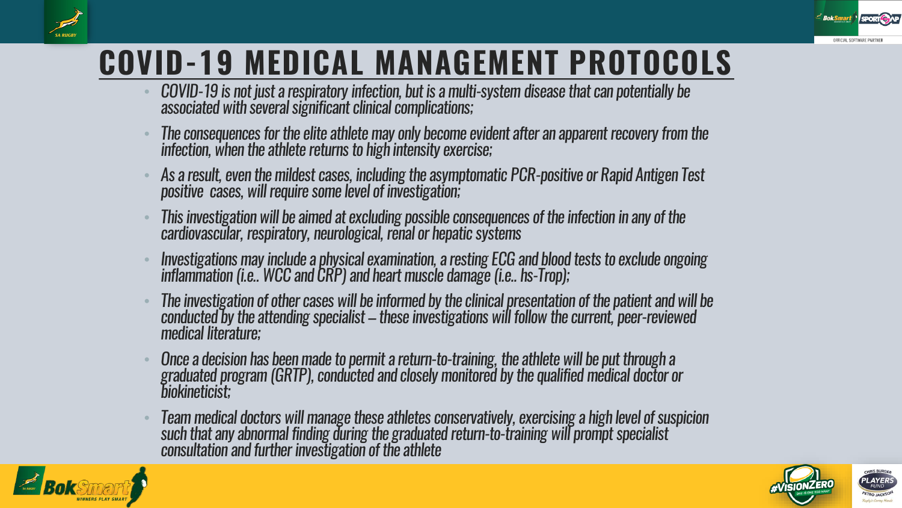



- COVID-19 is not just a respiratory infection, but is a multi-system disease that can potentially be associated with several significant clinical complications;
- The consequences for the elite athlete may only become evident after an apparent recovery from the infection, when the athlete returns to high intensity exercise;
- As a result, even the mildest cases, including the asymptomatic PCR-positive or Rapid Antigen Test positive cases, will require some level of investigation;
- This investigation will be aimed at excluding possible consequences of the infection in any of the cardiovascular, respiratory, neurological, renal or hepatic systems
- Investigations may include a physical examination, a resting ECG and blood tests to exclude ongoing inflammation (i.e.. WCC and CRP) and heart muscle damage (i.e.. hs-Trop);
- The investigation of other cases will be informed by the clinical presentation of the patient and will be conducted by the attending specialist – these investigations will follow the current, peer-reviewed medical literature;
- Once a decision has been made to permit a return-to-training, the athlete will be put through a graduated program (GRTP), conducted and closely monitored by the qualified medical doctor or biokineticist;
- Team medical doctors will manage these athletes conservatively, exercising a high level of suspicion such that any abnormal finding during the graduated return-to-training will prompt specialist consultation and further investigation of the athlete





OFFICIAL SOFTWARE PARTNER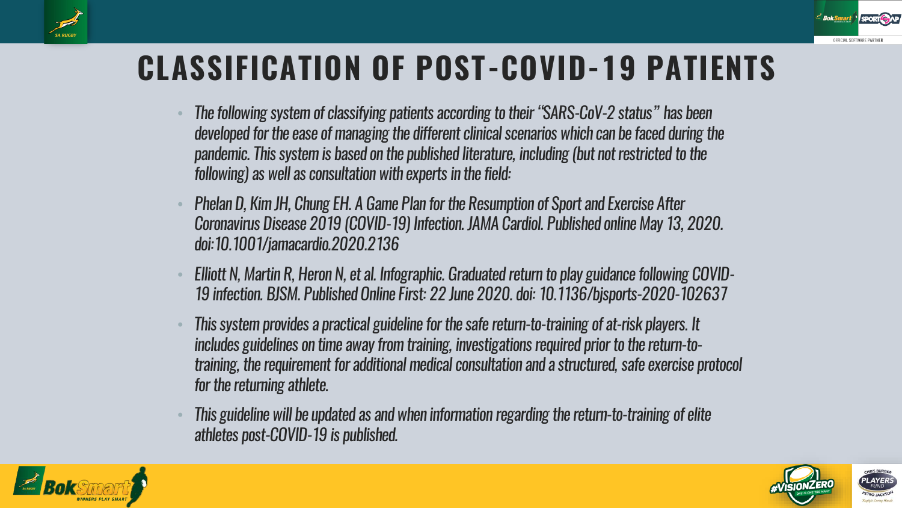

#### **CLASSIFICATION OF POST-COVID-19 PATIENTS**

- The following system of classifying patients according to their "SARS-CoV-2 status" has been developed for the ease of managing the different clinical scenarios which can be faced during the pandemic. This system is based on the published literature, including (but not restricted to the following) as well as consultation with experts in the field:
- Phelan D, Kim JH, Chung EH. A Game Plan for the Resumption of Sport and Exercise After Coronavirus Disease 2019 (COVID-19) Infection. JAMA Cardiol. Published online May 13, 2020. doi:10.1001/jamacardio.2020.2136
- Elliott N, Martin R, Heron N, et al. Infographic. Graduated return to play guidance following COVID-19 infection. BJSM. Published Online First: 22 June 2020. doi: 10.1136/bjsports-2020-102637
- This system provides a practical guideline for the safe return-to-training of at-risk players. It includes guidelines on time away from training, investigations required prior to the return-totraining, the requirement for additional medical consultation and a structured, safe exercise protocol for the returning athlete.
- This guideline will be updated as and when information regarding the return-to-training of elite athletes post-COVID-19 is published.



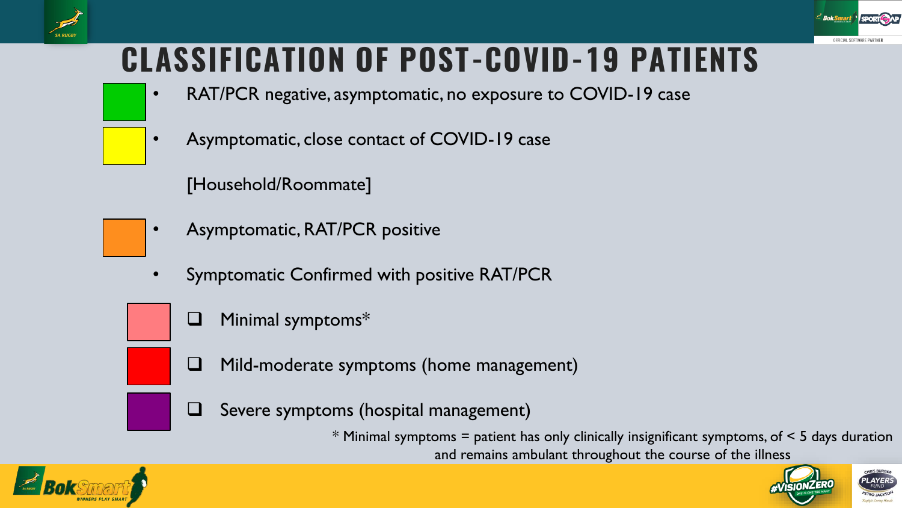



#### **CLASSIFICATION OF POST-COVID-19 PATIENTS**

- RAT/PCR negative, asymptomatic, no exposure to COVID-19 case
- Asymptomatic, close contact of COVID-19 case

[Household/Roommate]

- Asymptomatic, RAT/PCR positive
- Symptomatic Confirmed with positive RAT/PCR
	- Minimal symptoms\*
	- ❑ Mild-moderate symptoms (home management)
	- Severe symptoms (hospital management)

 $*$  Minimal symptoms = patient has only clinically insignificant symptoms, of  $<$  5 days duration and remains ambulant throughout the course of the illness



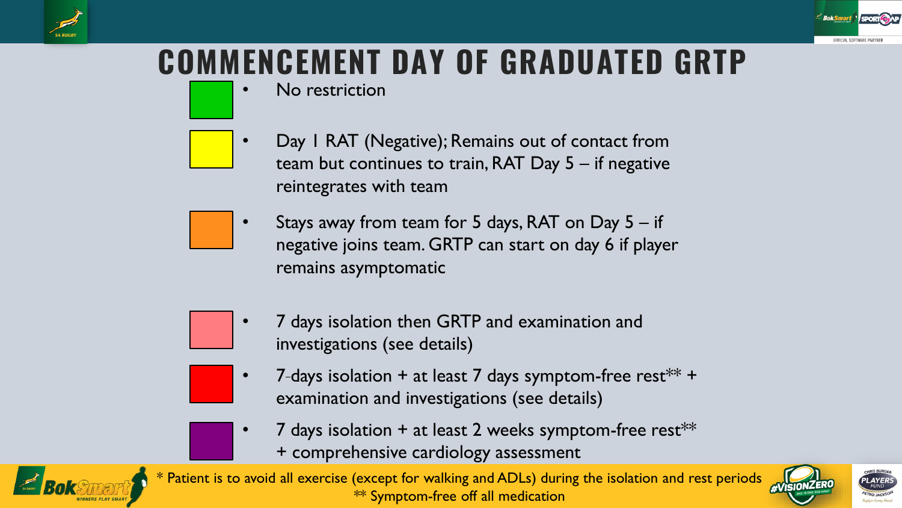

#### **COMMENCEMENT DAY OF GRADUATED GRTP**

No restriction

- Day I RAT (Negative); Remains out of contact from team but continues to train, RAT Day 5 – if negative reintegrates with team
- Stays away from team for 5 days, RAT on Day 5 if negative joins team. GRTP can start on day 6 if player remains asymptomatic



- 7 days isolation then GRTP and examination and investigations (see details)
- 7-days isolation + at least 7 days symptom-free rest\*\* + examination and investigations (see details)
- 7 days isolation  $+$  at least 2 weeks symptom-free rest\*\*
	- + comprehensive cardiology assessment



\* Patient is to avoid all exercise (except for walking and ADLs) during the isolation and rest periods \*\* Symptom-free off all medication

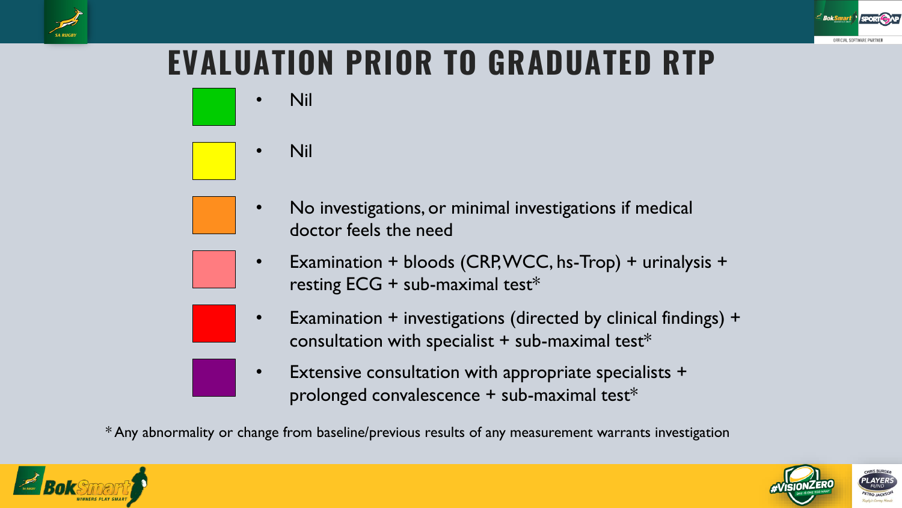

#### **EVALUATION PRIOR TO GRADUATED RTP**

• Nil



- No investigations, or minimal investigations if medical doctor feels the need
- Examination + bloods (CRP, WCC, hs-Trop) + urinalysis + resting  $ECG + sub-maximal test*$
- Examination + investigations (directed by clinical findings) + consultation with specialist  $+$  sub-maximal test\*
- Extensive consultation with appropriate specialists + prolonged convalescence + sub-maximal test\*

\* Any abnormality or change from baseline/previous results of any measurement warrants investigation



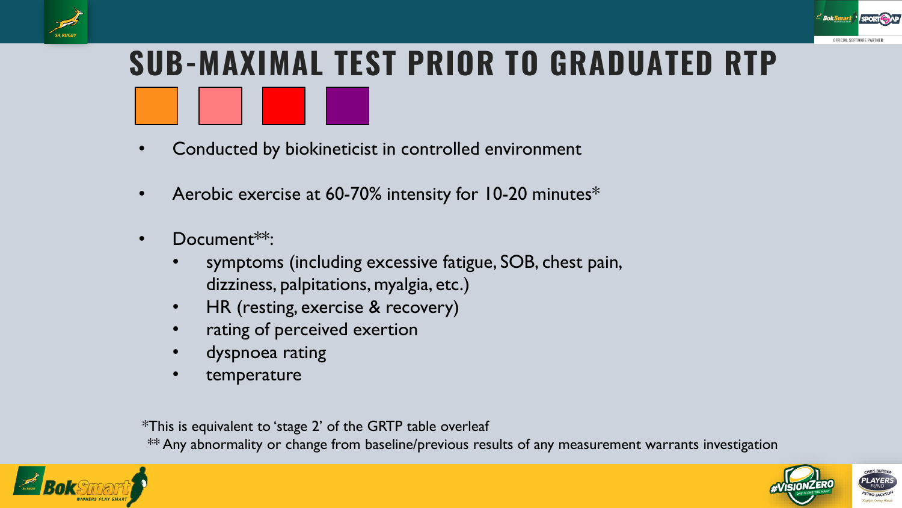



# **SUB-MAXIMAL TEST PRIOR TO GRADUATED RTP**

- Conducted by biokineticist in controlled environment
- Aerobic exercise at 60-70% intensity for 10-20 minutes\*
- Document\*\*:
	- symptoms (including excessive fatigue, SOB, chest pain, dizziness, palpitations, myalgia, etc.)
	- HR (resting, exercise & recovery)
	- rating of perceived exertion
	- dyspnoea rating
	- temperature

\*This is equivalent to 'stage 2' of the GRTP table overleaf

\*\* Any abnormality or change from baseline/previous results of any measurement warrants investigation



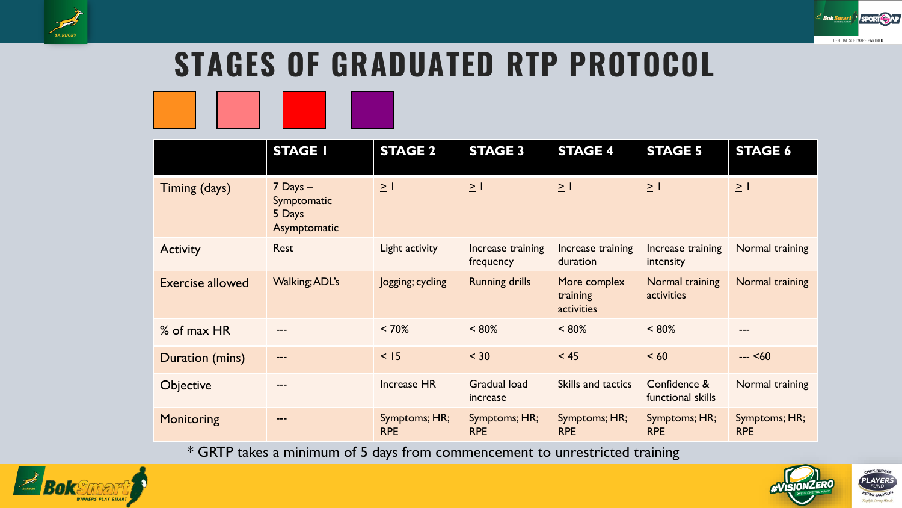



### **STAGES OF GRADUATED RTP PROTOCOL**



|                         | <b>STAGE I</b>                                        | <b>STAGE 2</b>              | <b>STAGE 3</b>                  | <b>STAGE 4</b>                         | <b>STAGE 5</b>                    | <b>STAGE 6</b>              |
|-------------------------|-------------------------------------------------------|-----------------------------|---------------------------------|----------------------------------------|-----------------------------------|-----------------------------|
| Timing (days)           | $7$ Days $-$<br>Symptomatic<br>5 Days<br>Asymptomatic | $\geq$ 1                    | $\geq$ 1                        | $\geq$ 1                               | $\geq$ 1                          | $\geq$ 1                    |
| <b>Activity</b>         | <b>Rest</b>                                           | Light activity              | Increase training<br>frequency  | Increase training<br>duration          | Increase training<br>intensity    | Normal training             |
| <b>Exercise allowed</b> | <b>Walking; ADL's</b>                                 | Jogging; cycling            | <b>Running drills</b>           | More complex<br>training<br>activities | Normal training<br>activities     | Normal training             |
| % of max HR             |                                                       | $< 70\%$                    | $< 80\%$                        | $< 80\%$                               | $< 80\%$                          | ---                         |
| Duration (mins)         | $---$                                                 | < 15                        | $< 30$                          | < 45                                   | < 60                              | $-- < 60$                   |
| <b>Objective</b>        | ---                                                   | <b>Increase HR</b>          | <b>Gradual load</b><br>increase | Skills and tactics                     | Confidence &<br>functional skills | Normal training             |
| Monitoring              |                                                       | Symptoms; HR;<br><b>RPE</b> | Symptoms; HR;<br><b>RPE</b>     | Symptoms; HR;<br><b>RPE</b>            | Symptoms; HR;<br><b>RPE</b>       | Symptoms; HR;<br><b>RPE</b> |

\* GRTP takes a minimum of 5 days from commencement to unrestricted training



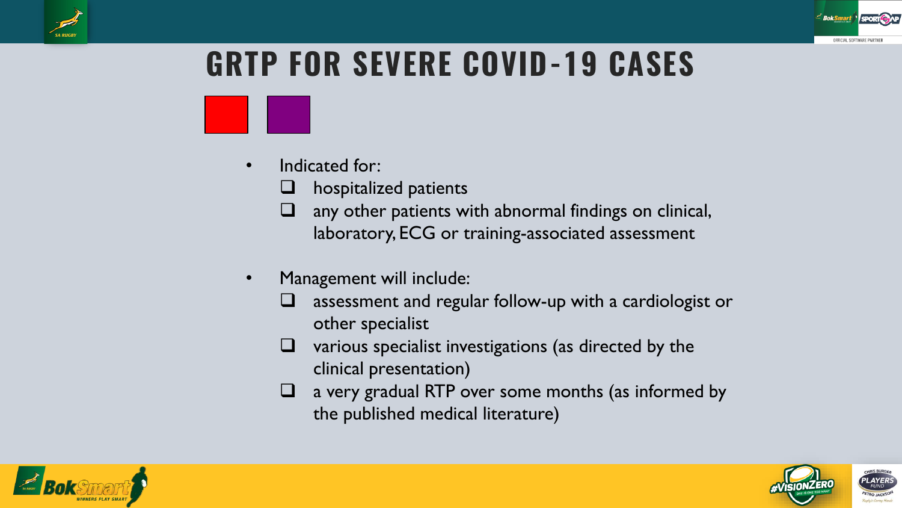

#### **GRTP FOR SEVERE COVID-19 CASES**

- Indicated for:
	- hospitalized patients
	- $\Box$  any other patients with abnormal findings on clinical, laboratory, ECG or training-associated assessment
- Management will include:
	- assessment and regular follow-up with a cardiologist or other specialist
	- various specialist investigations (as directed by the clinical presentation)
	- a very gradual RTP over some months (as informed by the published medical literature)